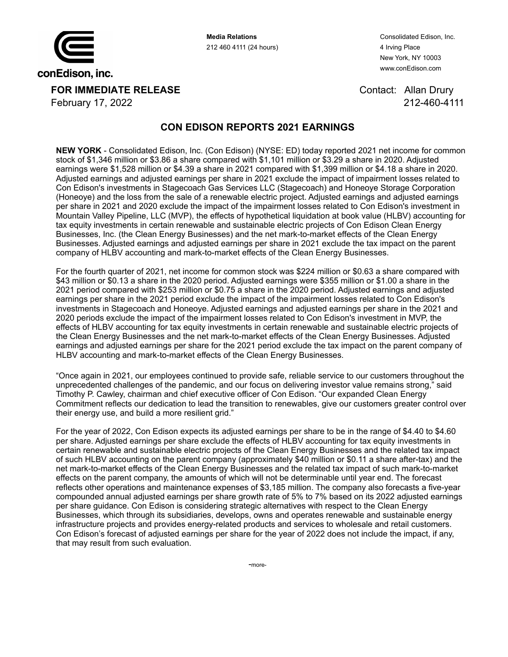

212 460 4111 (24 hours) 4 Irving Place

**Media Relations Consolidated Edison, Inc.** New York, NY 10003 www.conEdison.com

## **FOR IMMEDIATE RELEASE CONTACT SEXUAL SERVICES**

February 17, 2022 212-460-4111

# **CON EDISON REPORTS 2021 EARNINGS**

**NEW YORK** - Consolidated Edison, Inc. (Con Edison) (NYSE: ED) today reported 2021 net income for common stock of \$1,346 million or \$3.86 a share compared with \$1,101 million or \$3.29 a share in 2020. Adjusted earnings were \$1,528 million or \$4.39 a share in 2021 compared with \$1,399 million or \$4.18 a share in 2020. Adjusted earnings and adjusted earnings per share in 2021 exclude the impact of impairment losses related to Con Edison's investments in Stagecoach Gas Services LLC (Stagecoach) and Honeoye Storage Corporation (Honeoye) and the loss from the sale of a renewable electric project. Adjusted earnings and adjusted earnings per share in 2021 and 2020 exclude the impact of the impairment losses related to Con Edison's investment in Mountain Valley Pipeline, LLC (MVP), the effects of hypothetical liquidation at book value (HLBV) accounting for tax equity investments in certain renewable and sustainable electric projects of Con Edison Clean Energy Businesses, Inc. (the Clean Energy Businesses) and the net mark-to-market effects of the Clean Energy Businesses. Adjusted earnings and adjusted earnings per share in 2021 exclude the tax impact on the parent company of HLBV accounting and mark-to-market effects of the Clean Energy Businesses.

For the fourth quarter of 2021, net income for common stock was \$224 million or \$0.63 a share compared with \$43 million or \$0.13 a share in the 2020 period. Adjusted earnings were \$355 million or \$1.00 a share in the 2021 period compared with \$253 million or \$0.75 a share in the 2020 period. Adjusted earnings and adjusted earnings per share in the 2021 period exclude the impact of the impairment losses related to Con Edison's investments in Stagecoach and Honeoye. Adjusted earnings and adjusted earnings per share in the 2021 and 2020 periods exclude the impact of the impairment losses related to Con Edison's investment in MVP, the effects of HLBV accounting for tax equity investments in certain renewable and sustainable electric projects of the Clean Energy Businesses and the net mark-to-market effects of the Clean Energy Businesses. Adjusted earnings and adjusted earnings per share for the 2021 period exclude the tax impact on the parent company of HLBV accounting and mark-to-market effects of the Clean Energy Businesses.

"Once again in 2021, our employees continued to provide safe, reliable service to our customers throughout the unprecedented challenges of the pandemic, and our focus on delivering investor value remains strong," said Timothy P. Cawley, chairman and chief executive officer of Con Edison. "Our expanded Clean Energy Commitment reflects our dedication to lead the transition to renewables, give our customers greater control over their energy use, and build a more resilient grid."

For the year of 2022, Con Edison expects its adjusted earnings per share to be in the range of \$4.40 to \$4.60 per share. Adjusted earnings per share exclude the effects of HLBV accounting for tax equity investments in certain renewable and sustainable electric projects of the Clean Energy Businesses and the related tax impact of such HLBV accounting on the parent company (approximately \$40 million or \$0.11 a share after-tax) and the net mark-to-market effects of the Clean Energy Businesses and the related tax impact of such mark-to-market effects on the parent company, the amounts of which will not be determinable until year end. The forecast reflects other operations and maintenance expenses of \$3,185 million. The company also forecasts a five-year compounded annual adjusted earnings per share growth rate of 5% to 7% based on its 2022 adjusted earnings per share guidance. Con Edison is considering strategic alternatives with respect to the Clean Energy Businesses, which through its subsidiaries, develops, owns and operates renewable and sustainable energy infrastructure projects and provides energy-related products and services to wholesale and retail customers. Con Edison's forecast of adjusted earnings per share for the year of 2022 does not include the impact, if any, that may result from such evaluation.

-more-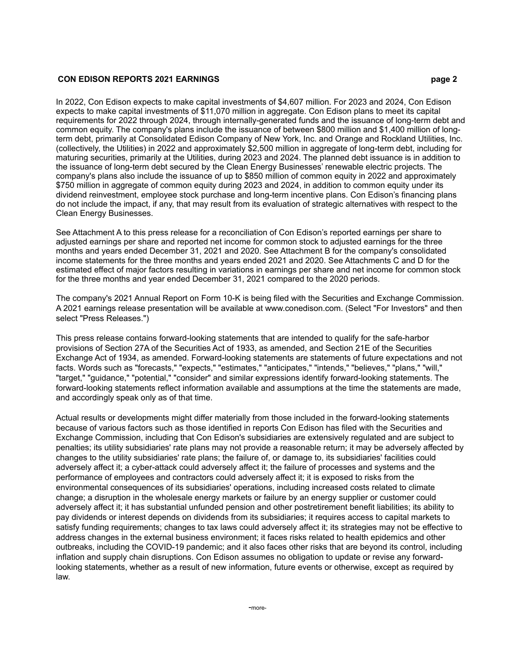### **CON EDISON REPORTS 2021 EARNINGS page 2**

In 2022, Con Edison expects to make capital investments of \$4,607 million. For 2023 and 2024, Con Edison expects to make capital investments of \$11,070 million in aggregate. Con Edison plans to meet its capital requirements for 2022 through 2024, through internally-generated funds and the issuance of long-term debt and common equity. The company's plans include the issuance of between \$800 million and \$1,400 million of longterm debt, primarily at Consolidated Edison Company of New York, Inc. and Orange and Rockland Utilities, Inc. (collectively, the Utilities) in 2022 and approximately \$2,500 million in aggregate of long-term debt, including for maturing securities, primarily at the Utilities, during 2023 and 2024. The planned debt issuance is in addition to the issuance of long-term debt secured by the Clean Energy Businesses' renewable electric projects. The company's plans also include the issuance of up to \$850 million of common equity in 2022 and approximately \$750 million in aggregate of common equity during 2023 and 2024, in addition to common equity under its dividend reinvestment, employee stock purchase and long-term incentive plans. Con Edison's financing plans do not include the impact, if any, that may result from its evaluation of strategic alternatives with respect to the Clean Energy Businesses.

See Attachment A to this press release for a reconciliation of Con Edison's reported earnings per share to adjusted earnings per share and reported net income for common stock to adjusted earnings for the three months and years ended December 31, 2021 and 2020. See Attachment B for the company's consolidated income statements for the three months and years ended 2021 and 2020. See Attachments C and D for the estimated effect of major factors resulting in variations in earnings per share and net income for common stock for the three months and year ended December 31, 2021 compared to the 2020 periods.

The company's 2021 Annual Report on Form 10-K is being filed with the Securities and Exchange Commission. A 2021 earnings release presentation will be available at www.conedison.com. (Select "For Investors" and then select "Press Releases.")

This press release contains forward-looking statements that are intended to qualify for the safe-harbor provisions of Section 27A of the Securities Act of 1933, as amended, and Section 21E of the Securities Exchange Act of 1934, as amended. Forward-looking statements are statements of future expectations and not facts. Words such as "forecasts," "expects," "estimates," "anticipates," "intends," "believes," "plans," "will," "target," "guidance," "potential," "consider" and similar expressions identify forward-looking statements. The forward-looking statements reflect information available and assumptions at the time the statements are made, and accordingly speak only as of that time.

Actual results or developments might differ materially from those included in the forward-looking statements because of various factors such as those identified in reports Con Edison has filed with the Securities and Exchange Commission, including that Con Edison's subsidiaries are extensively regulated and are subject to penalties; its utility subsidiaries' rate plans may not provide a reasonable return; it may be adversely affected by changes to the utility subsidiaries' rate plans; the failure of, or damage to, its subsidiaries' facilities could adversely affect it; a cyber-attack could adversely affect it; the failure of processes and systems and the performance of employees and contractors could adversely affect it; it is exposed to risks from the environmental consequences of its subsidiaries' operations, including increased costs related to climate change; a disruption in the wholesale energy markets or failure by an energy supplier or customer could adversely affect it; it has substantial unfunded pension and other postretirement benefit liabilities; its ability to pay dividends or interest depends on dividends from its subsidiaries; it requires access to capital markets to satisfy funding requirements; changes to tax laws could adversely affect it; its strategies may not be effective to address changes in the external business environment; it faces risks related to health epidemics and other outbreaks, including the COVID-19 pandemic; and it also faces other risks that are beyond its control, including inflation and supply chain disruptions. Con Edison assumes no obligation to update or revise any forwardlooking statements, whether as a result of new information, future events or otherwise, except as required by law.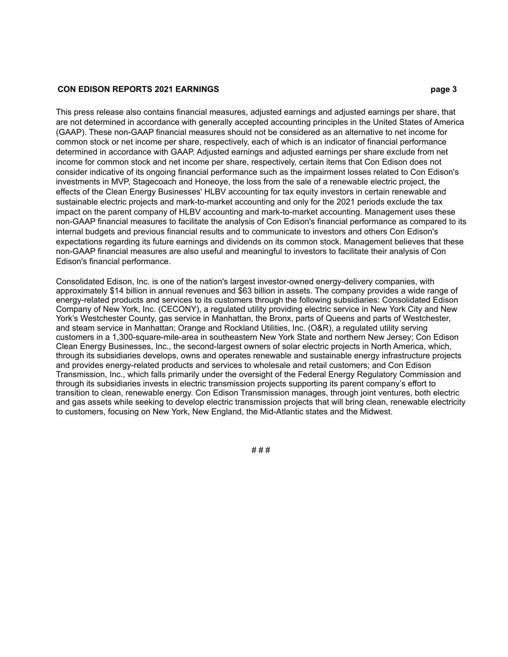#### **CON EDISON REPORTS 2021 EARNINGS page 3**

This press release also contains financial measures, adjusted earnings and adjusted earnings per share, that are not determined in accordance with generally accepted accounting principles in the United States of America (GAAP). These non-GAAP financial measures should not be considered as an alternative to net income for common stock or net income per share, respectively, each of which is an indicator of financial performance determined in accordance with GAAP. Adjusted earnings and adjusted earnings per share exclude from net income for common stock and net income per share, respectively, certain items that Con Edison does not consider indicative of its ongoing financial performance such as the impairment losses related to Con Edison's investments in MVP, Stagecoach and Honeoye, the loss from the sale of a renewable electric project, the effects of the Clean Energy Businesses' HLBV accounting for tax equity investors in certain renewable and sustainable electric projects and mark-to-market accounting and only for the 2021 periods exclude the tax impact on the parent company of HLBV accounting and mark-to-market accounting. Management uses these non-GAAP financial measures to facilitate the analysis of Con Edison's financial performance as compared to its internal budgets and previous financial results and to communicate to investors and others Con Edison's expectations regarding its future earnings and dividends on its common stock. Management believes that these non-GAAP financial measures are also useful and meaningful to investors to facilitate their analysis of Con Edison's financial performance.

Consolidated Edison, Inc. is one of the nation's largest investor-owned energy-delivery companies, with approximately \$14 billion in annual revenues and \$63 billion in assets. The company provides a wide range of energy-related products and services to its customers through the following subsidiaries: Consolidated Edison Company of New York, Inc. (CECONY), a regulated utility providing electric service in New York City and New York's Westchester County, gas service in Manhattan, the Bronx, parts of Queens and parts of Westchester, and steam service in Manhattan; Orange and Rockland Utilities, Inc. (O&R), a regulated utility serving customers in a 1,300-square-mile-area in southeastern New York State and northern New Jersey; Con Edison Clean Energy Businesses, Inc., the second-largest owners of solar electric projects in North America, which, through its subsidiaries develops, owns and operates renewable and sustainable energy infrastructure projects and provides energy-related products and services to wholesale and retail customers; and Con Edison Transmission, Inc., which falls primarily under the oversight of the Federal Energy Regulatory Commission and through its subsidiaries invests in electric transmission projects supporting its parent company's effort to transition to clean, renewable energy. Con Edison Transmission manages, through joint ventures, both electric and gas assets while seeking to develop electric transmission projects that will bring clean, renewable electricity to customers, focusing on New York, New England, the Mid-Atlantic states and the Midwest.

# # #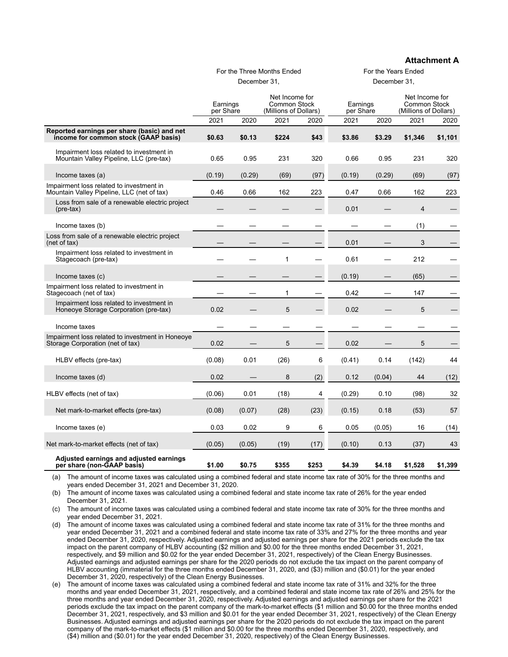#### **Attachment A**

#### For the Three Months Ended For the Years Ended December 31, December 31,

|                                                                                        | Earnings<br>per Share |        | Net Income for<br>Common Stock<br>(Millions of Dollars) |      | Earnings<br>per Share |        | Net Income for<br>Common Stock<br>(Millions of Dollars) |         |
|----------------------------------------------------------------------------------------|-----------------------|--------|---------------------------------------------------------|------|-----------------------|--------|---------------------------------------------------------|---------|
|                                                                                        | 2021                  | 2020   | 2021                                                    | 2020 | 2021                  | 2020   | 2021                                                    | 2020    |
| Reported earnings per share (basic) and net<br>income for common stock (GAAP basis)    | \$0.63                | \$0.13 | \$224                                                   | \$43 | \$3.86                | \$3.29 | \$1,346                                                 | \$1,101 |
| Impairment loss related to investment in<br>Mountain Valley Pipeline, LLC (pre-tax)    | 0.65                  | 0.95   | 231                                                     | 320  | 0.66                  | 0.95   | 231                                                     | 320     |
| Income taxes (a)                                                                       | (0.19)                | (0.29) | (69)                                                    | (97) | (0.19)                | (0.29) | (69)                                                    | (97)    |
| Impairment loss related to investment in<br>Mountain Valley Pipeline, LLC (net of tax) | 0.46                  | 0.66   | 162                                                     | 223  | 0.47                  | 0.66   | 162                                                     | 223     |
| Loss from sale of a renewable electric project<br>$(\text{pre-tax})$                   |                       |        |                                                         |      | 0.01                  |        | $\overline{4}$                                          |         |
| Income taxes (b)                                                                       |                       |        |                                                         |      |                       |        | (1)                                                     |         |
| Loss from sale of a renewable electric project<br>(net of tax)                         |                       |        |                                                         |      | 0.01                  |        | 3                                                       |         |
| Impairment loss related to investment in<br>Stagecoach (pre-tax)                       |                       |        | 1                                                       |      | 0.61                  |        | 212                                                     |         |
| Income taxes (c)                                                                       |                       |        |                                                         |      | (0.19)                |        | (65)                                                    |         |
| Impairment loss related to investment in<br>Stagecoach (net of tax)                    |                       |        | 1                                                       |      | 0.42                  |        | 147                                                     |         |
| Impairment loss related to investment in<br>Honeoye Storage Corporation (pre-tax)      | 0.02                  |        | 5                                                       |      | 0.02                  |        | 5                                                       |         |
| Income taxes                                                                           |                       |        |                                                         |      |                       |        |                                                         |         |
| Impairment loss related to investment in Honeoye<br>Storage Corporation (net of tax)   | 0.02                  |        | 5                                                       |      | 0.02                  |        | 5                                                       |         |
| HLBV effects (pre-tax)                                                                 | (0.08)                | 0.01   | (26)                                                    | 6    | (0.41)                | 0.14   | (142)                                                   | 44      |
| Income taxes (d)                                                                       | 0.02                  |        | 8                                                       | (2)  | 0.12                  | (0.04) | 44                                                      | (12)    |
| HLBV effects (net of tax)                                                              | (0.06)                | 0.01   | (18)                                                    | 4    | (0.29)                | 0.10   | (98)                                                    | 32      |
| Net mark-to-market effects (pre-tax)                                                   | (0.08)                | (0.07) | (28)                                                    | (23) | (0.15)                | 0.18   | (53)                                                    | 57      |
| Income taxes (e)                                                                       | 0.03                  | 0.02   | 9                                                       | 6    | 0.05                  | (0.05) | 16                                                      | (14)    |
| Net mark-to-market effects (net of tax)                                                | (0.05)                | (0.05) | (19)                                                    | (17) | (0.10)                | 0.13   | (37)                                                    | 43      |
| Adjusted earnings and adjusted earnings                                                |                       |        |                                                         |      |                       |        |                                                         |         |

**per share (non-GAAP basis) \$1.00 \$0.75 \$355 \$253 \$4.39 \$4.18 \$1,528 \$1,399** (a) The amount of income taxes was calculated using a combined federal and state income tax rate of 30% for the three months and

years ended December 31, 2021 and December 31, 2020.

(b) The amount of income taxes was calculated using a combined federal and state income tax rate of 26% for the year ended December 31, 2021.

(c) The amount of income taxes was calculated using a combined federal and state income tax rate of 30% for the three months and year ended December 31, 2021.

(d) The amount of income taxes was calculated using a combined federal and state income tax rate of 31% for the three months and year ended December 31, 2021 and a combined federal and state income tax rate of 33% and 27% for the three months and year ended December 31, 2020, respectively. Adjusted earnings and adjusted earnings per share for the 2021 periods exclude the tax impact on the parent company of HLBV accounting (\$2 million and \$0.00 for the three months ended December 31, 2021, respectively, and \$9 million and \$0.02 for the year ended December 31, 2021, respectively) of the Clean Energy Businesses. Adjusted earnings and adjusted earnings per share for the 2020 periods do not exclude the tax impact on the parent company of HLBV accounting (immaterial for the three months ended December 31, 2020, and (\$3) million and (\$0.01) for the year ended December 31, 2020, respectively) of the Clean Energy Businesses.

(e) The amount of income taxes was calculated using a combined federal and state income tax rate of 31% and 32% for the three months and year ended December 31, 2021, respectively, and a combined federal and state income tax rate of 26% and 25% for the three months and year ended December 31, 2020, respectively. Adjusted earnings and adjusted earnings per share for the 2021 periods exclude the tax impact on the parent company of the mark-to-market effects (\$1 million and \$0.00 for the three months ended December 31, 2021, respectively, and \$3 million and \$0.01 for the year ended December 31, 2021, respectively) of the Clean Energy Businesses. Adjusted earnings and adjusted earnings per share for the 2020 periods do not exclude the tax impact on the parent company of the mark-to-market effects (\$1 million and \$0.00 for the three months ended December 31, 2020, respectively, and (\$4) million and (\$0.01) for the year ended December 31, 2020, respectively) of the Clean Energy Businesses.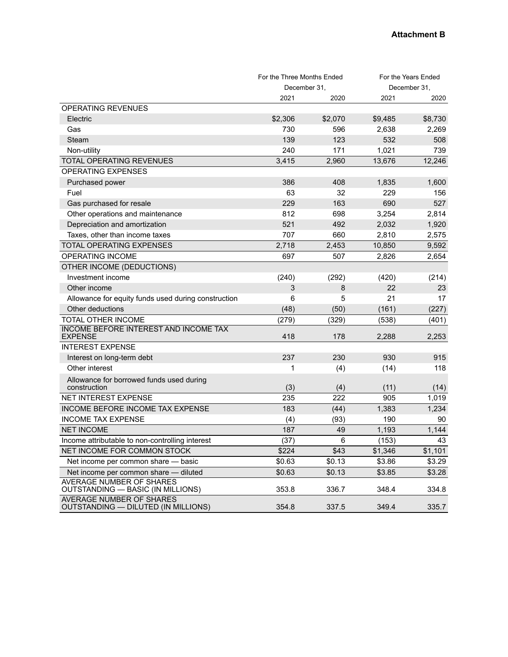|                                                                             | For the Three Months Ended<br>December 31. |         | For the Years Ended<br>December 31, |         |  |
|-----------------------------------------------------------------------------|--------------------------------------------|---------|-------------------------------------|---------|--|
|                                                                             |                                            |         |                                     |         |  |
|                                                                             | 2021                                       | 2020    | 2021                                | 2020    |  |
| OPERATING REVENUES                                                          |                                            |         |                                     |         |  |
| Electric                                                                    | \$2,306                                    | \$2,070 | \$9,485                             | \$8,730 |  |
| Gas                                                                         | 730                                        | 596     | 2,638                               | 2,269   |  |
| Steam                                                                       | 139                                        | 123     | 532                                 | 508     |  |
| Non-utility                                                                 | 240                                        | 171     | 1,021                               | 739     |  |
| TOTAL OPERATING REVENUES                                                    | 3,415                                      | 2,960   | 13,676                              | 12,246  |  |
| <b>OPERATING EXPENSES</b>                                                   |                                            |         |                                     |         |  |
| Purchased power                                                             | 386                                        | 408     | 1,835                               | 1,600   |  |
| Fuel                                                                        | 63                                         | 32      | 229                                 | 156     |  |
| Gas purchased for resale                                                    | 229                                        | 163     | 690                                 | 527     |  |
| Other operations and maintenance                                            | 812                                        | 698     | 3,254                               | 2,814   |  |
| Depreciation and amortization                                               | 521                                        | 492     | 2,032                               | 1,920   |  |
| Taxes, other than income taxes                                              | 707                                        | 660     | 2,810                               | 2,575   |  |
| <b>TOTAL OPERATING EXPENSES</b>                                             | 2,718                                      | 2,453   | 10,850                              | 9,592   |  |
| OPERATING INCOME                                                            | 697                                        | 507     | 2,826                               | 2,654   |  |
| OTHER INCOME (DEDUCTIONS)                                                   |                                            |         |                                     |         |  |
| Investment income                                                           | (240)                                      | (292)   | (420)                               | (214)   |  |
| Other income                                                                | 3                                          | 8       | 22                                  | 23      |  |
| Allowance for equity funds used during construction                         | 6                                          | 5       | 21                                  | 17      |  |
| Other deductions                                                            | (48)                                       | (50)    | (161)                               | (227)   |  |
| TOTAL OTHER INCOME                                                          | (279)                                      | (329)   | (538)                               | (401)   |  |
| <b>INCOME BEFORE INTEREST AND INCOME TAX</b><br><b>EXPENSE</b>              | 418                                        | 178     | 2,288                               | 2,253   |  |
| <b>INTEREST EXPENSE</b>                                                     |                                            |         |                                     |         |  |
| Interest on long-term debt                                                  | 237                                        | 230     | 930                                 | 915     |  |
| Other interest                                                              | 1                                          | (4)     | (14)                                | 118     |  |
| Allowance for borrowed funds used during<br>construction                    | (3)                                        | (4)     | (11)                                | (14)    |  |
| <b>NET INTEREST EXPENSE</b>                                                 | 235                                        | 222     | 905                                 | 1,019   |  |
| INCOME BEFORE INCOME TAX EXPENSE                                            | 183                                        | (44)    | 1,383                               | 1,234   |  |
| <b>INCOME TAX EXPENSE</b>                                                   | (4)                                        | (93)    | 190                                 | 90      |  |
| <b>NET INCOME</b>                                                           | 187                                        | 49      | 1,193                               | 1,144   |  |
| Income attributable to non-controlling interest                             | (37)                                       | 6       | (153)                               | 43      |  |
| NET INCOME FOR COMMON STOCK                                                 | \$224                                      | \$43    | \$1,346                             | \$1,101 |  |
| Net income per common share - basic                                         | \$0.63                                     | \$0.13  | \$3.86                              | \$3.29  |  |
| Net income per common share - diluted                                       | \$0.63                                     | \$0.13  | \$3.85                              | \$3.28  |  |
| <b>AVERAGE NUMBER OF SHARES</b><br><b>OUTSTANDING — BASIC (IN MILLIONS)</b> | 353.8                                      | 336.7   | 348.4                               | 334.8   |  |
| AVERAGE NUMBER OF SHARES<br>OUTSTANDING - DILUTED (IN MILLIONS)             | 354.8                                      | 337.5   | 349.4                               | 335.7   |  |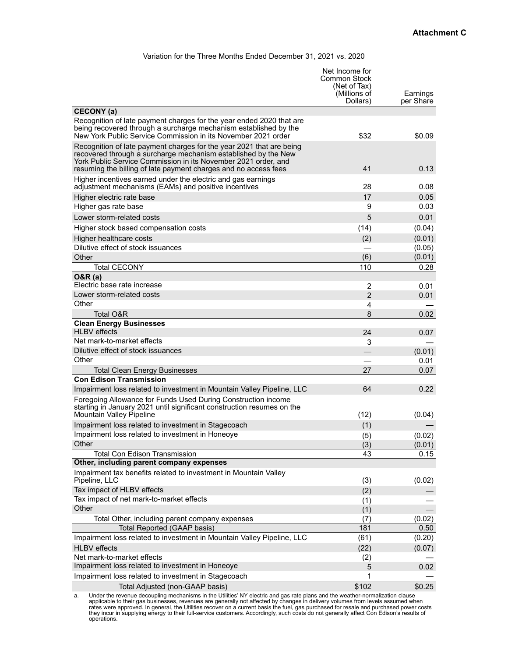Variation for the Three Months Ended December 31, 2021 vs. 2020

|                                                                                                                                                                                                                                                                             | Net Income for<br>Common Stock<br>(Net of Tax)<br>(Millions of<br>Dollars) | Earnings<br>per Share |
|-----------------------------------------------------------------------------------------------------------------------------------------------------------------------------------------------------------------------------------------------------------------------------|----------------------------------------------------------------------------|-----------------------|
| <b>CECONY</b> (a)                                                                                                                                                                                                                                                           |                                                                            |                       |
| Recognition of late payment charges for the year ended 2020 that are<br>being recovered through a surcharge mechanism established by the<br>New York Public Service Commission in its November 2021 order                                                                   | \$32                                                                       | \$0.09                |
| Recognition of late payment charges for the year 2021 that are being<br>recovered through a surcharge mechanism established by the New<br>York Public Service Commission in its November 2021 order, and<br>resuming the billing of late payment charges and no access fees | 41                                                                         | 0.13                  |
| Higher incentives earned under the electric and gas earnings<br>adjustment mechanisms (EAMs) and positive incentives                                                                                                                                                        | 28                                                                         | 0.08                  |
| Higher electric rate base                                                                                                                                                                                                                                                   | 17                                                                         | 0.05                  |
| Higher gas rate base                                                                                                                                                                                                                                                        | 9                                                                          | 0.03                  |
| Lower storm-related costs                                                                                                                                                                                                                                                   | 5                                                                          | 0.01                  |
|                                                                                                                                                                                                                                                                             |                                                                            |                       |
| Higher stock based compensation costs                                                                                                                                                                                                                                       | (14)                                                                       | (0.04)                |
| Higher healthcare costs<br>Dilutive effect of stock issuances                                                                                                                                                                                                               | (2)                                                                        | (0.01)<br>(0.05)      |
| Other                                                                                                                                                                                                                                                                       | (6)                                                                        | (0.01)                |
| <b>Total CECONY</b>                                                                                                                                                                                                                                                         | 110                                                                        | 0.28                  |
| <b>O&amp;R</b> (a)                                                                                                                                                                                                                                                          |                                                                            |                       |
| Electric base rate increase                                                                                                                                                                                                                                                 | $\overline{2}$                                                             | 0.01                  |
| Lower storm-related costs                                                                                                                                                                                                                                                   | $\overline{2}$                                                             | 0.01                  |
| Other                                                                                                                                                                                                                                                                       | 4                                                                          |                       |
| Total O&R                                                                                                                                                                                                                                                                   | 8                                                                          | 0.02                  |
| <b>Clean Energy Businesses</b>                                                                                                                                                                                                                                              |                                                                            |                       |
| <b>HLBV</b> effects                                                                                                                                                                                                                                                         | 24                                                                         | 0.07                  |
| Net mark-to-market effects                                                                                                                                                                                                                                                  | 3                                                                          |                       |
| Dilutive effect of stock issuances                                                                                                                                                                                                                                          |                                                                            | (0.01)                |
| Other                                                                                                                                                                                                                                                                       |                                                                            | 0.01                  |
| <b>Total Clean Energy Businesses</b>                                                                                                                                                                                                                                        | 27                                                                         | 0.07                  |
| <b>Con Edison Transmission</b>                                                                                                                                                                                                                                              |                                                                            |                       |
| Impairment loss related to investment in Mountain Valley Pipeline, LLC<br>Foregoing Allowance for Funds Used During Construction income<br>starting in January 2021 until significant construction resumes on the                                                           | 64                                                                         | 0.22                  |
| Mountain Valley Pipeline                                                                                                                                                                                                                                                    | (12)                                                                       | (0.04)                |
| Impairment loss related to investment in Stagecoach                                                                                                                                                                                                                         | (1)                                                                        |                       |
| Impairment loss related to investment in Honeoye                                                                                                                                                                                                                            | (5)                                                                        | (0.02)                |
| Other                                                                                                                                                                                                                                                                       | (3)                                                                        | (0.01)                |
| <b>Total Con Edison Transmission</b>                                                                                                                                                                                                                                        | 43                                                                         | 0.15                  |
| Other, including parent company expenses<br>Impairment tax benefits related to investment in Mountain Valley                                                                                                                                                                |                                                                            |                       |
| Pipeline, LLC                                                                                                                                                                                                                                                               | (3)                                                                        | (0.02)                |
| Tax impact of HLBV effects<br>Tax impact of net mark-to-market effects                                                                                                                                                                                                      | (2)                                                                        |                       |
| Other                                                                                                                                                                                                                                                                       | (1)                                                                        |                       |
| Total Other, including parent company expenses                                                                                                                                                                                                                              | (1)<br>(7)                                                                 | (0.02)                |
| <b>Total Reported (GAAP basis)</b>                                                                                                                                                                                                                                          | 181                                                                        | 0.50                  |
| Impairment loss related to investment in Mountain Valley Pipeline, LLC                                                                                                                                                                                                      | (61)                                                                       | (0.20)                |
| <b>HLBV</b> effects                                                                                                                                                                                                                                                         | (22)                                                                       | (0.07)                |
| Net mark-to-market effects                                                                                                                                                                                                                                                  | (2)                                                                        |                       |
| Impairment loss related to investment in Honeoye                                                                                                                                                                                                                            | 5                                                                          | 0.02                  |
| Impairment loss related to investment in Stagecoach                                                                                                                                                                                                                         | 1                                                                          |                       |
| Total Adjusted (non-GAAP basis)                                                                                                                                                                                                                                             | \$102                                                                      | \$0.25                |

a. Under the revenue decoupling mechanisms in the Utilities' NY electric and gas rate plans and the weather-normalization clause<br>applicable to their gas businesses, revenues are generally not affected by changes in deliver